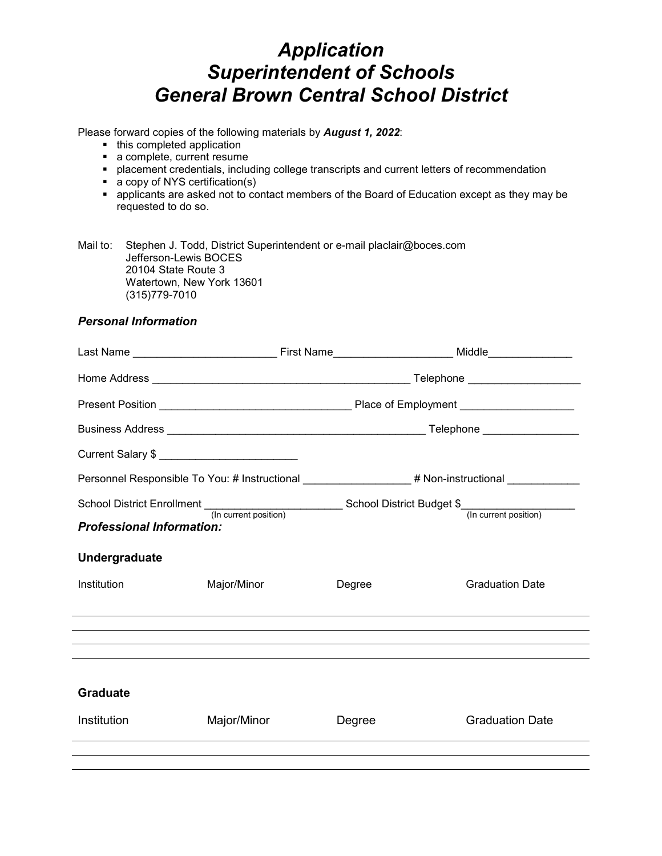# *Application Superintendent of Schools General Brown Central School District*

Please forward copies of the following materials by *August 1, 2022*:

- this completed application
- a complete, current resume
- placement credentials, including college transcripts and current letters of recommendation
- a copy of NYS certification(s)
- applicants are asked not to contact members of the Board of Education except as they may be requested to do so.

Mail to: Stephen J. Todd, District Superintendent or e-mail placlair@boces.com Jefferson-Lewis BOCES 20104 State Route 3 Watertown, New York 13601 (315)779-7010

#### *Personal Information*

| Current Salary \$ ______________________________ |             |                                                                                                     |                                                                                                |
|--------------------------------------------------|-------------|-----------------------------------------------------------------------------------------------------|------------------------------------------------------------------------------------------------|
|                                                  |             |                                                                                                     | Personnel Responsible To You: # Instructional _________________# Non-instructional ___________ |
|                                                  |             |                                                                                                     |                                                                                                |
| <b>Professional Information:</b>                 |             | School District Enrollment (In current position) School District Budget \$<br>(In current position) |                                                                                                |
| Undergraduate                                    |             |                                                                                                     |                                                                                                |
| Institution                                      | Major/Minor | Degree                                                                                              | <b>Graduation Date</b>                                                                         |
|                                                  |             |                                                                                                     |                                                                                                |
|                                                  |             |                                                                                                     |                                                                                                |
|                                                  |             |                                                                                                     |                                                                                                |
| <b>Graduate</b>                                  |             |                                                                                                     |                                                                                                |
| <b>Institution</b>                               | Major/Minor | Degree                                                                                              | <b>Graduation Date</b>                                                                         |
|                                                  |             |                                                                                                     |                                                                                                |
|                                                  |             |                                                                                                     |                                                                                                |